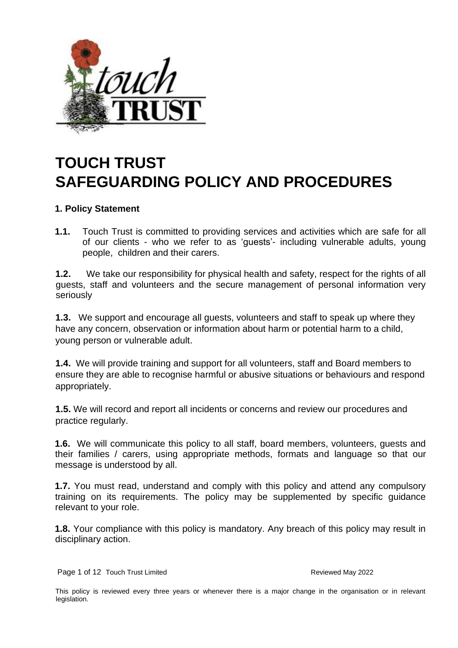

# **TOUCH TRUST SAFEGUARDING POLICY AND PROCEDURES**

#### **1. Policy Statement**

**1.1.** Touch Trust is committed to providing services and activities which are safe for all of our clients - who we refer to as 'guests'- including vulnerable adults, young people, children and their carers.

**1.2.** We take our responsibility for physical health and safety, respect for the rights of all guests, staff and volunteers and the secure management of personal information very seriously

**1.3.** We support and encourage all guests, volunteers and staff to speak up where they have any concern, observation or information about harm or potential harm to a child, young person or vulnerable adult.

**1.4.** We will provide training and support for all volunteers, staff and Board members to ensure they are able to recognise harmful or abusive situations or behaviours and respond appropriately.

**1.5.** We will record and report all incidents or concerns and review our procedures and practice regularly.

**1.6.** We will communicate this policy to all staff, board members, volunteers, guests and their families / carers, using appropriate methods, formats and language so that our message is understood by all.

**1.7.** You must read, understand and comply with this policy and attend any compulsory training on its requirements. The policy may be supplemented by specific guidance relevant to your role.

**1.8.** Your compliance with this policy is mandatory. Any breach of this policy may result in disciplinary action.

Page 1 of 12 Touch Trust Limited **Reviewed May 2022**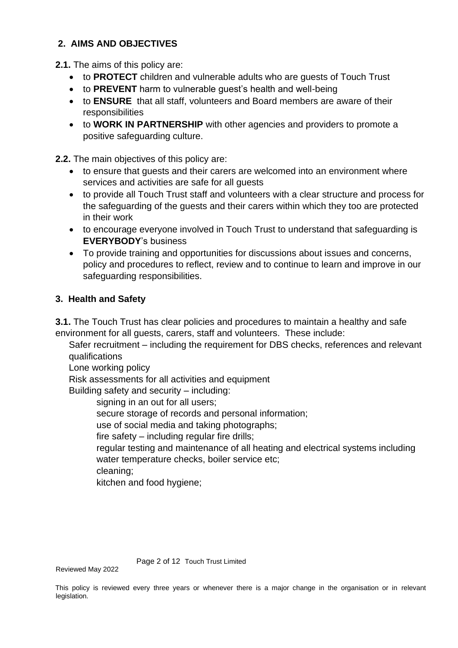#### **2. AIMS AND OBJECTIVES**

- **2.1.** The aims of this policy are:
	- to **PROTECT** children and vulnerable adults who are guests of Touch Trust
	- to **PREVENT** harm to vulnerable guest's health and well-being
	- to **ENSURE** that all staff, volunteers and Board members are aware of their responsibilities
	- to **WORK IN PARTNERSHIP** with other agencies and providers to promote a positive safeguarding culture.

**2.2.** The main objectives of this policy are:

- to ensure that guests and their carers are welcomed into an environment where services and activities are safe for all guests
- to provide all Touch Trust staff and volunteers with a clear structure and process for the safeguarding of the guests and their carers within which they too are protected in their work
- to encourage everyone involved in Touch Trust to understand that safeguarding is **EVERYBODY**'s business
- To provide training and opportunities for discussions about issues and concerns, policy and procedures to reflect, review and to continue to learn and improve in our safeguarding responsibilities.

#### **3. Health and Safety**

**3.1.** The Touch Trust has clear policies and procedures to maintain a healthy and safe environment for all guests, carers, staff and volunteers. These include:

Safer recruitment – including the requirement for DBS checks, references and relevant qualifications

Lone working policy

Risk assessments for all activities and equipment

Building safety and security – including:

signing in an out for all users:

secure storage of records and personal information;

use of social media and taking photographs;

fire safety – including regular fire drills;

regular testing and maintenance of all heating and electrical systems including water temperature checks, boiler service etc;

cleaning;

kitchen and food hygiene;

#### Page 2 of 12 Touch Trust Limited

Reviewed May 2022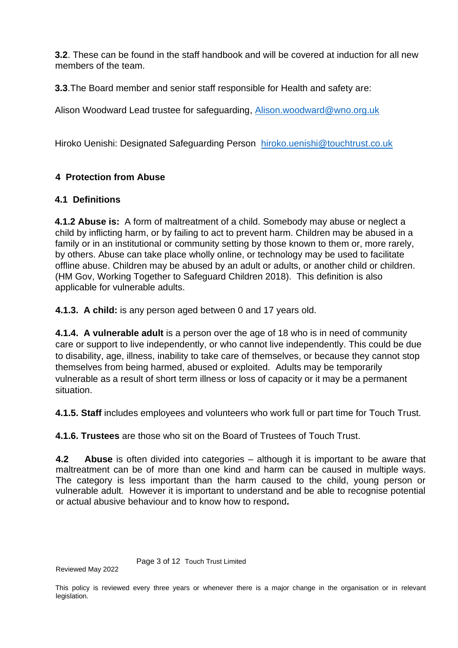**3.2**. These can be found in the staff handbook and will be covered at induction for all new members of the team.

**3.3**.The Board member and senior staff responsible for Health and safety are:

Alison Woodward Lead trustee for safeguarding, [Alison.woodward@wno.org.uk](mailto:Alison.woodward@wno.org.uk)

Hiroko Uenishi: Designated Safeguarding Person [hiroko.uenishi@touchtrust.co.uk](mailto:hiroko.uenishi@touchtrust.co.uk)

### **4 Protection from Abuse**

#### **4.1 Definitions**

**4.1.2 Abuse is:** A form of maltreatment of a child. Somebody may abuse or neglect a child by inflicting harm, or by failing to act to prevent harm. Children may be abused in a family or in an institutional or community setting by those known to them or, more rarely, by others. Abuse can take place wholly online, or technology may be used to facilitate offline abuse. Children may be abused by an adult or adults, or another child or children. (HM Gov, Working Together to Safeguard Children 2018). This definition is also applicable for vulnerable adults.

**4.1.3. A child:** is any person aged between 0 and 17 years old.

**4.1.4. A vulnerable adult** is a person over the age of 18 who is in need of community care or support to live independently, or who cannot live independently. This could be due to disability, age, illness, inability to take care of themselves, or because they cannot stop themselves from being harmed, abused or exploited. Adults may be temporarily vulnerable as a result of short term illness or loss of capacity or it may be a permanent situation.

**4.1.5. Staff** includes employees and volunteers who work full or part time for Touch Trust.

**4.1.6. Trustees** are those who sit on the Board of Trustees of Touch Trust.

**4.2 Abuse** is often divided into categories – although it is important to be aware that maltreatment can be of more than one kind and harm can be caused in multiple ways. The category is less important than the harm caused to the child, young person or vulnerable adult. However it is important to understand and be able to recognise potential or actual abusive behaviour and to know how to respond**.** 

#### Page 3 of 12 Touch Trust Limited

Reviewed May 2022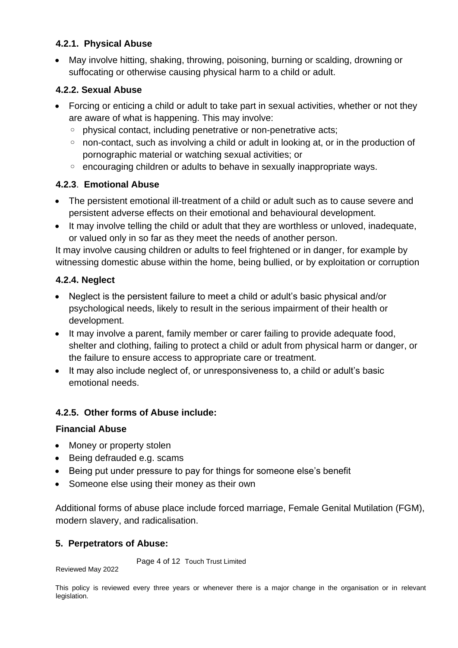### **4.2.1. Physical Abuse**

• May involve hitting, shaking, throwing, poisoning, burning or scalding, drowning or suffocating or otherwise causing physical harm to a child or adult.

# **4.2.2. Sexual Abuse**

- Forcing or enticing a child or adult to take part in sexual activities, whether or not they are aware of what is happening. This may involve:
	- physical contact, including penetrative or non-penetrative acts;
	- non-contact, such as involving a child or adult in looking at, or in the production of pornographic material or watching sexual activities; or
	- encouraging children or adults to behave in sexually inappropriate ways.

### **4.2.3**. **Emotional Abuse**

- The persistent emotional ill-treatment of a child or adult such as to cause severe and persistent adverse effects on their emotional and behavioural development.
- It may involve telling the child or adult that they are worthless or unloved, inadequate, or valued only in so far as they meet the needs of another person.

It may involve causing children or adults to feel frightened or in danger, for example by witnessing domestic abuse within the home, being bullied, or by exploitation or corruption

### **4.2.4. Neglect**

- Neglect is the persistent failure to meet a child or adult's basic physical and/or psychological needs, likely to result in the serious impairment of their health or development.
- It may involve a parent, family member or carer failing to provide adequate food, shelter and clothing, failing to protect a child or adult from physical harm or danger, or the failure to ensure access to appropriate care or treatment.
- It may also include neglect of, or unresponsiveness to, a child or adult's basic emotional needs.

# **4.2.5. Other forms of Abuse include:**

#### **Financial Abuse**

- Money or property stolen
- Being defrauded e.g. scams
- Being put under pressure to pay for things for someone else's benefit
- Someone else using their money as their own

Additional forms of abuse place include forced marriage, Female Genital Mutilation (FGM), modern slavery, and radicalisation.

#### **5. Perpetrators of Abuse:**

Page 4 of 12 Touch Trust Limited

Reviewed May 2022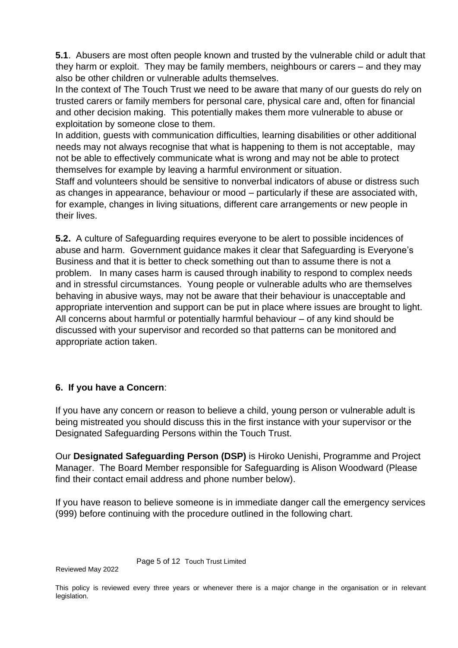**5.1**. Abusers are most often people known and trusted by the vulnerable child or adult that they harm or exploit. They may be family members, neighbours or carers – and they may also be other children or vulnerable adults themselves.

In the context of The Touch Trust we need to be aware that many of our guests do rely on trusted carers or family members for personal care, physical care and, often for financial and other decision making. This potentially makes them more vulnerable to abuse or exploitation by someone close to them.

In addition, guests with communication difficulties, learning disabilities or other additional needs may not always recognise that what is happening to them is not acceptable, may not be able to effectively communicate what is wrong and may not be able to protect themselves for example by leaving a harmful environment or situation.

Staff and volunteers should be sensitive to nonverbal indicators of abuse or distress such as changes in appearance, behaviour or mood – particularly if these are associated with, for example, changes in living situations, different care arrangements or new people in their lives.

**5.2.** A culture of Safeguarding requires everyone to be alert to possible incidences of abuse and harm. Government guidance makes it clear that Safeguarding is Everyone's Business and that it is better to check something out than to assume there is not a problem. In many cases harm is caused through inability to respond to complex needs and in stressful circumstances. Young people or vulnerable adults who are themselves behaving in abusive ways, may not be aware that their behaviour is unacceptable and appropriate intervention and support can be put in place where issues are brought to light. All concerns about harmful or potentially harmful behaviour – of any kind should be discussed with your supervisor and recorded so that patterns can be monitored and appropriate action taken.

#### **6. If you have a Concern**:

If you have any concern or reason to believe a child, young person or vulnerable adult is being mistreated you should discuss this in the first instance with your supervisor or the Designated Safeguarding Persons within the Touch Trust.

Our **Designated Safeguarding Person (DSP)** is Hiroko Uenishi, Programme and Project Manager. The Board Member responsible for Safeguarding is Alison Woodward (Please find their contact email address and phone number below).

If you have reason to believe someone is in immediate danger call the emergency services (999) before continuing with the procedure outlined in the following chart.

#### Page 5 of 12 Touch Trust Limited

Reviewed May 2022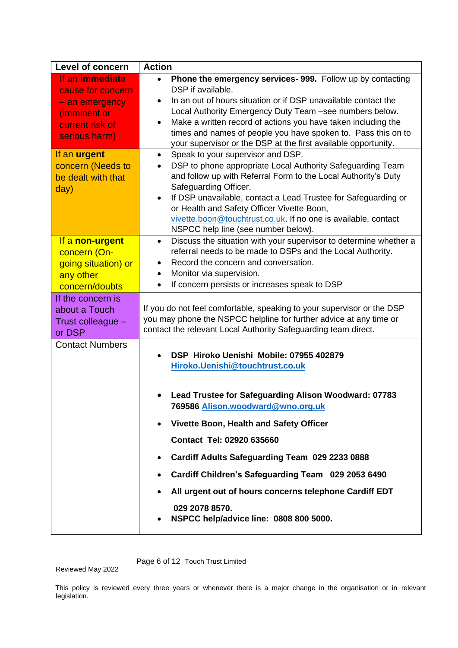| <b>Level of concern</b>                                                                                                                                    | <b>Action</b>                                                                                                                                                                                                                                                                                                                                                                                                                                                                                                 |
|------------------------------------------------------------------------------------------------------------------------------------------------------------|---------------------------------------------------------------------------------------------------------------------------------------------------------------------------------------------------------------------------------------------------------------------------------------------------------------------------------------------------------------------------------------------------------------------------------------------------------------------------------------------------------------|
| If an immediate<br>cause for concern<br>- an emergency<br>(imminent or<br>current risk of<br>serious harm)                                                 | Phone the emergency services- 999. Follow up by contacting<br>DSP if available.<br>In an out of hours situation or if DSP unavailable contact the<br>$\bullet$<br>Local Authority Emergency Duty Team -see numbers below.<br>Make a written record of actions you have taken including the<br>$\bullet$<br>times and names of people you have spoken to. Pass this on to<br>your supervisor or the DSP at the first available opportunity.                                                                    |
| If an urgent<br>concern (Needs to<br>be dealt with that<br>day)                                                                                            | Speak to your supervisor and DSP.<br>$\bullet$<br>DSP to phone appropriate Local Authority Safeguarding Team<br>and follow up with Referral Form to the Local Authority's Duty<br>Safeguarding Officer.<br>If DSP unavailable, contact a Lead Trustee for Safeguarding or<br>$\bullet$<br>or Health and Safety Officer Vivette Boon,<br>vivette.boon@touchtrust.co.uk. If no one is available, contact<br>NSPCC help line (see number below).                                                                 |
| If a non-urgent<br>concern (On-<br>going situation) or<br>any other<br>concern/doubts<br>If the concern is<br>about a Touch<br>Trust colleague -<br>or DSP | Discuss the situation with your supervisor to determine whether a<br>$\bullet$<br>referral needs to be made to DSPs and the Local Authority.<br>Record the concern and conversation.<br>Monitor via supervision.<br>$\bullet$<br>If concern persists or increases speak to DSP<br>$\bullet$<br>If you do not feel comfortable, speaking to your supervisor or the DSP<br>you may phone the NSPCC helpline for further advice at any time or<br>contact the relevant Local Authority Safeguarding team direct. |
| <b>Contact Numbers</b>                                                                                                                                     | DSP Hiroko Uenishi Mobile: 07955 402879<br>Hiroko.Uenishi@touchtrust.co.uk<br>Lead Trustee for Safeguarding Alison Woodward: 07783<br>769586 Alison.woodward@wno.org.uk<br>Vivette Boon, Health and Safety Officer<br>Contact Tel: 02920 635660<br>Cardiff Adults Safeguarding Team 029 2233 0888<br>Cardiff Children's Safeguarding Team 029 2053 6490<br>All urgent out of hours concerns telephone Cardiff EDT<br>029 2078 8570.<br>NSPCC help/advice line: 0808 800 5000.                                 |

Page 6 of 12 Touch Trust Limited

Reviewed May 2022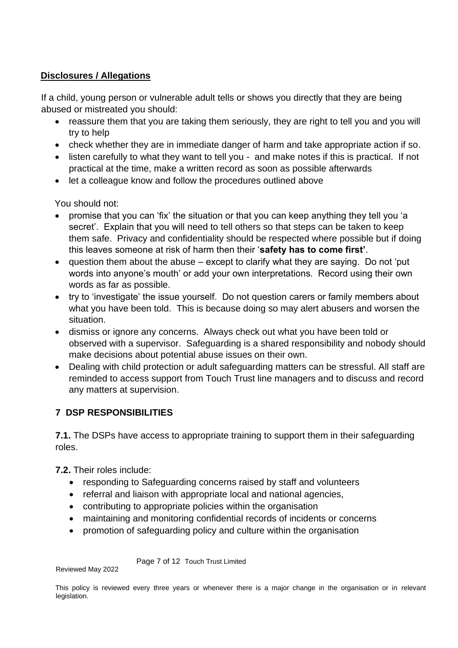# **Disclosures / Allegations**

If a child, young person or vulnerable adult tells or shows you directly that they are being abused or mistreated you should:

- reassure them that you are taking them seriously, they are right to tell you and you will try to help
- check whether they are in immediate danger of harm and take appropriate action if so.
- listen carefully to what they want to tell you and make notes if this is practical. If not practical at the time, make a written record as soon as possible afterwards
- let a colleague know and follow the procedures outlined above

You should not:

- promise that you can 'fix' the situation or that you can keep anything they tell you 'a secret'. Explain that you will need to tell others so that steps can be taken to keep them safe. Privacy and confidentiality should be respected where possible but if doing this leaves someone at risk of harm then their '**safety has to come first'**.
- question them about the abuse except to clarify what they are saying. Do not 'put words into anyone's mouth' or add your own interpretations. Record using their own words as far as possible.
- try to 'investigate' the issue yourself. Do not question carers or family members about what you have been told. This is because doing so may alert abusers and worsen the situation.
- dismiss or ignore any concerns. Always check out what you have been told or observed with a supervisor. Safeguarding is a shared responsibility and nobody should make decisions about potential abuse issues on their own.
- Dealing with child protection or adult safeguarding matters can be stressful. All staff are reminded to access support from Touch Trust line managers and to discuss and record any matters at supervision.

# **7 DSP RESPONSIBILITIES**

**7.1.** The DSPs have access to appropriate training to support them in their safeguarding roles.

**7.2.** Their roles include:

- responding to Safeguarding concerns raised by staff and volunteers
- referral and liaison with appropriate local and national agencies,
- contributing to appropriate policies within the organisation
- maintaining and monitoring confidential records of incidents or concerns
- promotion of safeguarding policy and culture within the organisation

Page 7 of 12 Touch Trust Limited

Reviewed May 2022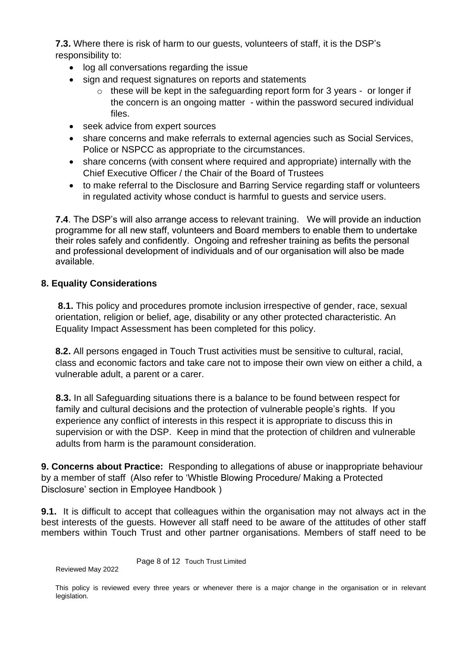**7.3.** Where there is risk of harm to our guests, volunteers of staff, it is the DSP's responsibility to:

- log all conversations regarding the issue
- sign and request signatures on reports and statements
	- o these will be kept in the safeguarding report form for 3 years or longer if the concern is an ongoing matter - within the password secured individual files.
- seek advice from expert sources
- share concerns and make referrals to external agencies such as Social Services, Police or NSPCC as appropriate to the circumstances.
- share concerns (with consent where required and appropriate) internally with the Chief Executive Officer / the Chair of the Board of Trustees
- to make referral to the Disclosure and Barring Service regarding staff or volunteers in regulated activity whose conduct is harmful to guests and service users.

**7.4**. The DSP's will also arrange access to relevant training. We will provide an induction programme for all new staff, volunteers and Board members to enable them to undertake their roles safely and confidently. Ongoing and refresher training as befits the personal and professional development of individuals and of our organisation will also be made available.

#### **8. Equality Considerations**

**8.1.** This policy and procedures promote inclusion irrespective of gender, race, sexual orientation, religion or belief, age, disability or any other protected characteristic. An Equality Impact Assessment has been completed for this policy.

**8.2.** All persons engaged in Touch Trust activities must be sensitive to cultural, racial, class and economic factors and take care not to impose their own view on either a child, a vulnerable adult, a parent or a carer.

**8.3.** In all Safeguarding situations there is a balance to be found between respect for family and cultural decisions and the protection of vulnerable people's rights. If you experience any conflict of interests in this respect it is appropriate to discuss this in supervision or with the DSP. Keep in mind that the protection of children and vulnerable adults from harm is the paramount consideration.

**9. Concerns about Practice:** Responding to allegations of abuse or inappropriate behaviour by a member of staff (Also refer to 'Whistle Blowing Procedure/ Making a Protected Disclosure' section in Employee Handbook )

**9.1.** It is difficult to accept that colleagues within the organisation may not always act in the best interests of the guests. However all staff need to be aware of the attitudes of other staff members within Touch Trust and other partner organisations. Members of staff need to be

Page 8 of 12 Touch Trust Limited

Reviewed May 2022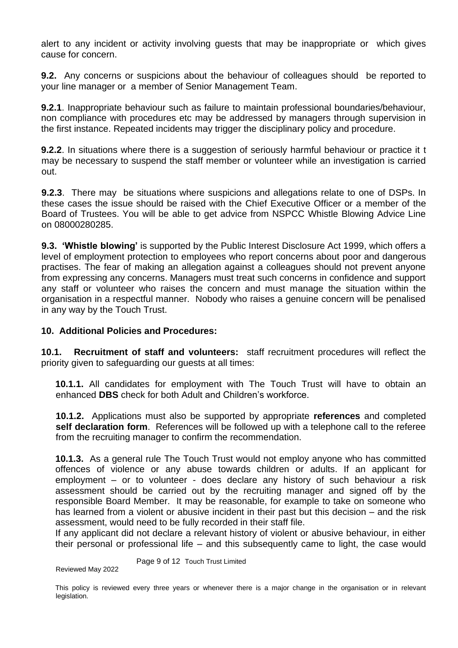alert to any incident or activity involving guests that may be inappropriate or which gives cause for concern.

**9.2.** Any concerns or suspicions about the behaviour of colleagues should be reported to your line manager or a member of Senior Management Team.

**9.2.1**. Inappropriate behaviour such as failure to maintain professional boundaries/behaviour, non compliance with procedures etc may be addressed by managers through supervision in the first instance. Repeated incidents may trigger the disciplinary policy and procedure.

**9.2.2**. In situations where there is a suggestion of seriously harmful behaviour or practice it t may be necessary to suspend the staff member or volunteer while an investigation is carried out.

**9.2.3**. There may be situations where suspicions and allegations relate to one of DSPs. In these cases the issue should be raised with the Chief Executive Officer or a member of the Board of Trustees. You will be able to get advice from NSPCC Whistle Blowing Advice Line on 08000280285.

**9.3. 'Whistle blowing'** is supported by the Public Interest Disclosure Act 1999, which offers a level of employment protection to employees who report concerns about poor and dangerous practises. The fear of making an allegation against a colleagues should not prevent anyone from expressing any concerns. Managers must treat such concerns in confidence and support any staff or volunteer who raises the concern and must manage the situation within the organisation in a respectful manner. Nobody who raises a genuine concern will be penalised in any way by the Touch Trust.

#### **10. Additional Policies and Procedures:**

**10.1. Recruitment of staff and volunteers:** staff recruitment procedures will reflect the priority given to safeguarding our guests at all times:

**10.1.1.** All candidates for employment with The Touch Trust will have to obtain an enhanced **DBS** check for both Adult and Children's workforce.

**10.1.2.** Applications must also be supported by appropriate **references** and completed **self declaration form**. References will be followed up with a telephone call to the referee from the recruiting manager to confirm the recommendation.

**10.1.3.** As a general rule The Touch Trust would not employ anyone who has committed offences of violence or any abuse towards children or adults. If an applicant for employment – or to volunteer - does declare any history of such behaviour a risk assessment should be carried out by the recruiting manager and signed off by the responsible Board Member. It may be reasonable, for example to take on someone who has learned from a violent or abusive incident in their past but this decision – and the risk assessment, would need to be fully recorded in their staff file.

If any applicant did not declare a relevant history of violent or abusive behaviour, in either their personal or professional life – and this subsequently came to light, the case would

Page 9 of 12 Touch Trust Limited

Reviewed May 2022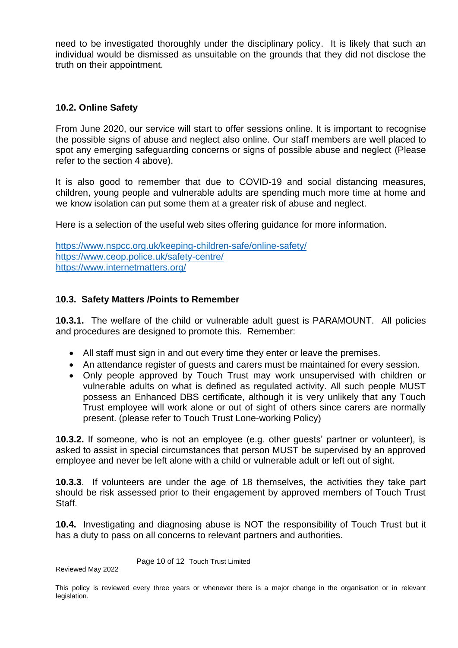need to be investigated thoroughly under the disciplinary policy. It is likely that such an individual would be dismissed as unsuitable on the grounds that they did not disclose the truth on their appointment.

#### **10.2. Online Safety**

From June 2020, our service will start to offer sessions online. It is important to recognise the possible signs of abuse and neglect also online. Our staff members are well placed to spot any emerging safeguarding concerns or signs of possible abuse and neglect (Please refer to the section 4 above).

It is also good to remember that due to COVID-19 and social distancing measures, children, young people and vulnerable adults are spending much more time at home and we know isolation can put some them at a greater risk of abuse and neglect.

Here is a selection of the useful web sites offering guidance for more information.

<https://www.nspcc.org.uk/keeping-children-safe/online-safety/> <https://www.ceop.police.uk/safety-centre/> <https://www.internetmatters.org/>

#### **10.3. Safety Matters /Points to Remember**

**10.3.1.** The welfare of the child or vulnerable adult guest is PARAMOUNT. All policies and procedures are designed to promote this. Remember:

- All staff must sign in and out every time they enter or leave the premises.
- An attendance register of guests and carers must be maintained for every session.
- Only people approved by Touch Trust may work unsupervised with children or vulnerable adults on what is defined as regulated activity. All such people MUST possess an Enhanced DBS certificate, although it is very unlikely that any Touch Trust employee will work alone or out of sight of others since carers are normally present. (please refer to Touch Trust Lone-working Policy)

**10.3.2.** If someone, who is not an employee (e.g. other guests' partner or volunteer), is asked to assist in special circumstances that person MUST be supervised by an approved employee and never be left alone with a child or vulnerable adult or left out of sight.

**10.3.3**. If volunteers are under the age of 18 themselves, the activities they take part should be risk assessed prior to their engagement by approved members of Touch Trust Staff.

**10.4.** Investigating and diagnosing abuse is NOT the responsibility of Touch Trust but it has a duty to pass on all concerns to relevant partners and authorities.

#### Page 10 of 12 Touch Trust Limited

Reviewed May 2022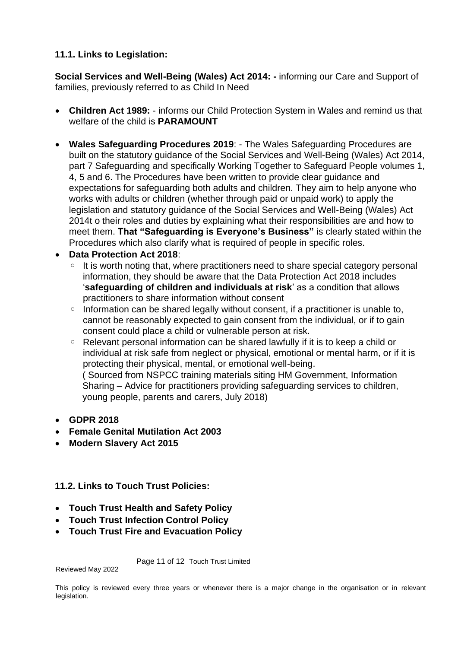### **11.1. Links to Legislation:**

**Social Services and Well-Being (Wales) Act 2014: -** informing our Care and Support of families, previously referred to as Child In Need

- **Children Act 1989:** informs our Child Protection System in Wales and remind us that welfare of the child is **PARAMOUNT**
- **Wales Safeguarding Procedures 2019**: The Wales Safeguarding Procedures are built on the statutory guidance of the Social Services and Well-Being (Wales) Act 2014, part 7 Safeguarding and specifically Working Together to Safeguard People volumes 1, 4, 5 and 6. The Procedures have been written to provide clear guidance and expectations for safeguarding both adults and children. They aim to help anyone who works with adults or children (whether through paid or unpaid work) to apply the legislation and statutory guidance of the Social Services and Well-Being (Wales) Act 2014t o their roles and duties by explaining what their responsibilities are and how to meet them. **That "Safeguarding is Everyone's Business"** is clearly stated within the Procedures which also clarify what is required of people in specific roles.
- **Data Protection Act 2018**:
	- It is worth noting that, where practitioners need to share special category personal information, they should be aware that the Data Protection Act 2018 includes '**safeguarding of children and individuals at risk**' as a condition that allows practitioners to share information without consent
	- Information can be shared legally without consent, if a practitioner is unable to, cannot be reasonably expected to gain consent from the individual, or if to gain consent could place a child or vulnerable person at risk.
	- Relevant personal information can be shared lawfully if it is to keep a child or individual at risk safe from neglect or physical, emotional or mental harm, or if it is protecting their physical, mental, or emotional well-being. ( Sourced from NSPCC training materials siting HM Government, Information Sharing – Advice for practitioners providing safeguarding services to children, young people, parents and carers, July 2018)
- **GDPR 2018**
- **Female Genital Mutilation Act 2003**
- **Modern Slavery Act 2015**

**11.2. Links to Touch Trust Policies:**

- **Touch Trust Health and Safety Policy**
- **Touch Trust Infection Control Policy**
- **Touch Trust Fire and Evacuation Policy**

Page 11 of 12 Touch Trust Limited

Reviewed May 2022